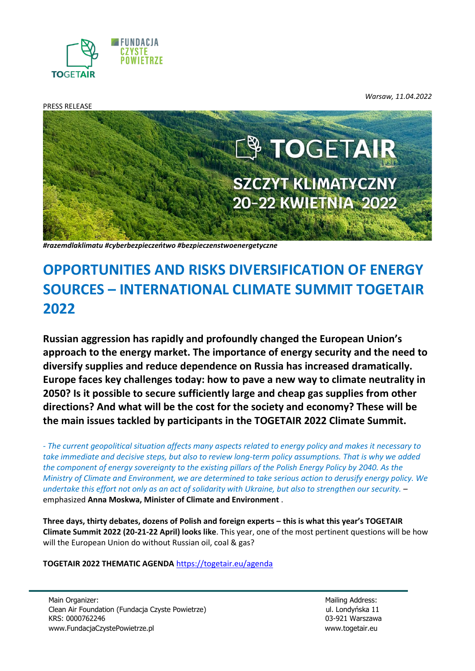

PRESS RELEASE

*Warsaw, 11.04.2022*



*#razemdlaklimatu #cyberbezpieczeńtwo #bezpieczenstwoenergetyczne*

# **OPPORTUNITIES AND RISKS DIVERSIFICATION OF ENERGY SOURCES – INTERNATIONAL CLIMATE SUMMIT TOGETAIR 2022**

**Russian aggression has rapidly and profoundly changed the European Union's approach to the energy market. The importance of energy security and the need to diversify supplies and reduce dependence on Russia has increased dramatically. Europe faces key challenges today: how to pave a new way to climate neutrality in 2050? Is it possible to secure sufficiently large and cheap gas supplies from other directions? And what will be the cost for the society and economy? These will be the main issues tackled by participants in the TOGETAIR 2022 Climate Summit.**

*- The current geopolitical situation affects many aspects related to energy policy and makes it necessary to take immediate and decisive steps, but also to review long-term policy assumptions. That is why we added the component of energy sovereignty to the existing pillars of the Polish Energy Policy by 2040. As the Ministry of Climate and Environment, we are determined to take serious action to derusify energy policy. We undertake this effort not only as an act of solidarity with Ukraine, but also to strengthen our security.* – emphasized **Anna Moskwa, Minister of Climate and Environment** .

**Three days, thirty debates, dozens of Polish and foreign experts – this is what this year's TOGETAIR Climate Summit 2022 (20-21-22 April) looks like**. This year, one of the most pertinent questions will be how will the European Union do without Russian oil, coal & gas?

**TOGETAIR 2022 THEMATIC AGENDA** <https://togetair.eu/agenda>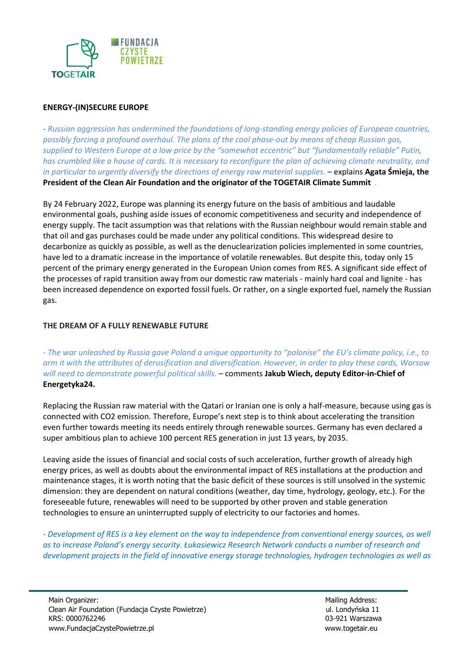

## **ENERGY-(IN)SECURE EUROPE**

*- Russian aggression has undermined the foundations of long-standing energy policies of European countries, possibly forcing a profound overhaul. The plans of the coal phase-out by means of cheap Russian gas, supplied to Western Europe at a low price by the "somewhat eccentric" but "fundamentally reliable" Putin, has crumbled like a house of cards. It is necessary to reconfigure the plan of achieving climate neutrality, and in particular to urgently diversify the directions of energy raw material supplies.* – explains **Agata Śmieja, the President of the Clean Air Foundation and the originator of the TOGETAIR Climate Summit** *.*

By 24 February 2022, Europe was planning its energy future on the basis of ambitious and laudable environmental goals, pushing aside issues of economic competitiveness and security and independence of energy supply. The tacit assumption was that relations with the Russian neighbour would remain stable and that oil and gas purchases could be made under any political conditions. This widespread desire to decarbonize as quickly as possible, as well as the denuclearization policies implemented in some countries, have led to a dramatic increase in the importance of volatile renewables. But despite this, today only 15 percent of the primary energy generated in the European Union comes from RES. A significant side effect of the processes of rapid transition away from our domestic raw materials - mainly hard coal and lignite - has been increased dependence on exported fossil fuels. Or rather, on a single exported fuel, namely the Russian gas.

#### **THE DREAM OF A FULLY RENEWABLE FUTURE**

*- The war unleashed by Russia gave Poland a unique opportunity to "polonise" the EU's climate policy, i.e., to arm it with the attributes of derusification and diversification. However, in order to play these cards, Warsaw will need to demonstrate powerful political skills.* – comments **Jakub Wiech, deputy Editor-in-Chief of Energetyka24.**

Replacing the Russian raw material with the Qatari or Iranian one is only a half-measure, because using gas is connected with CO2 emission. Therefore, Europe's next step is to think about accelerating the transition even further towards meeting its needs entirely through renewable sources. Germany has even declared a super ambitious plan to achieve 100 percent RES generation in just 13 years, by 2035.

Leaving aside the issues of financial and social costs of such acceleration, further growth of already high energy prices, as well as doubts about the environmental impact of RES installations at the production and maintenance stages, it is worth noting that the basic deficit of these sources is still unsolved in the systemic dimension: they are dependent on natural conditions (weather, day time, hydrology, geology, etc.). For the foreseeable future, renewables will need to be supported by other proven and stable generation technologies to ensure an uninterrupted supply of electricity to our factories and homes.

*- Development of RES is a key element on the way to independence from conventional energy sources, as well as to increase Poland's energy security. Łukasiewicz Research Network conducts a number of research and development projects in the field of innovative energy storage technologies, hydrogen technologies as well as*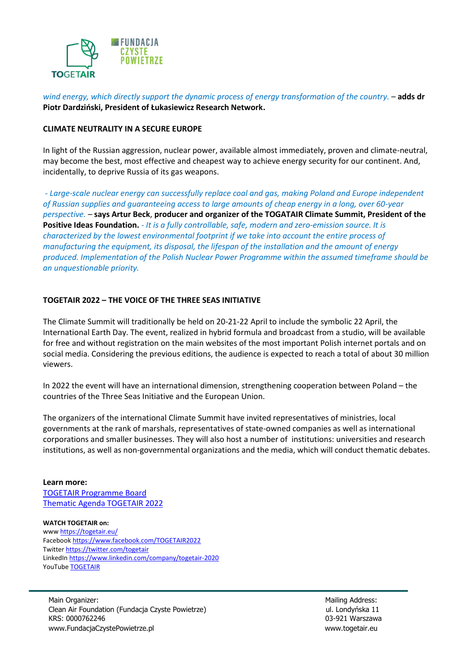

*wind energy, which directly support the dynamic process of energy transformation of the country.* – **adds dr Piotr Dardziński, President of Łukasiewicz Research Network.**

#### **CLIMATE NEUTRALITY IN A SECURE EUROPE**

In light of the Russian aggression, nuclear power, available almost immediately, proven and climate-neutral, may become the best, most effective and cheapest way to achieve energy security for our continent. And, incidentally, to deprive Russia of its gas weapons.

*- Large-scale nuclear energy can successfully replace coal and gas, making Poland and Europe independent of Russian supplies and guaranteeing access to large amounts of cheap energy in a long, over 60-year perspective. –* **says Artur Beck**, **producer and organizer of the TOGATAIR Climate Summit, President of the Positive Ideas Foundation.** *- It is a fully controllable, safe, modern and zero-emission source. It is characterized by the lowest environmental footprint if we take into account the entire process of manufacturing the equipment, its disposal, the lifespan of the installation and the amount of energy produced. Implementation of the Polish Nuclear Power Programme within the assumed timeframe should be an unquestionable priority.* 

#### **TOGETAIR 2022 – THE VOICE OF THE THREE SEAS INITIATIVE**

The Climate Summit will traditionally be held on 20-21-22 April to include the symbolic 22 April, the International Earth Day. The event, realized in hybrid formula and broadcast from a studio, will be available for free and without registration on the main websites of the most important Polish internet portals and on social media. Considering the previous editions, the audience is expected to reach a total of about 30 million viewers.

In 2022 the event will have an international dimension, strengthening cooperation between Poland – the countries of the Three Seas Initiative and the European Union.

The organizers of the international Climate Summit have invited representatives of ministries, local governments at the rank of marshals, representatives of state-owned companies as well as international corporations and smaller businesses. They will also host a number of institutions: universities and research institutions, as well as non-governmental organizations and the media, which will conduct thematic debates.

#### **Learn more:**

[TOGETAIR Programme Board](https://togetair.eu/rada) [Thematic Agenda TOGETAIR 2022](https://togetair.eu/agenda)

#### **WATCH TOGETAIR on:**

ww[w https://togetair.eu/](https://togetair.eu/) Faceboo[k https://www.facebook.com/TOGETAIR2022](https://www.facebook.com/TOGETAIR2021) Twitte[r https://twitter.com/togetair](https://twitter.com/togetair) LinkedIn<https://www.linkedin.com/company/togetair-2020> YouTube **TOGETAIR** 

Main Organizer: Mailing Address: Mailing Address: Clean Air Foundation (Fundacja Czyste Powietrze) ul. Londyńska 11 KRS: 0000762246 03-921 Warszawa [www.FundacjaCzystePowietrze.pl](http://www.fundacjaczystepowietrze.pl/) [www.togetair.eu](http://www.togetair.eu/)